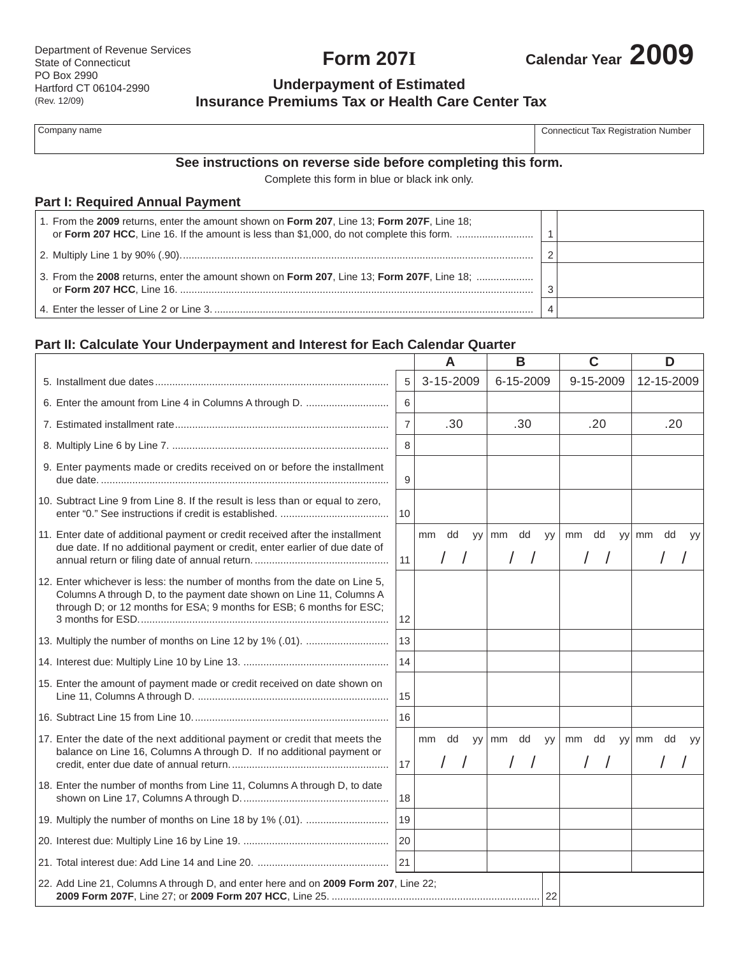**Form 207I**



# **Underpayment of Estimated Insurance Premiums Tax or Health Care Center Tax**

| Company name |  |
|--------------|--|
|--------------|--|

Connecticut Tax Registration Number

# **See instructions on reverse side before completing this form.**

Complete this form in blue or black ink only.

# **Part I: Required Annual Payment**

| 1. From the 2009 returns, enter the amount shown on Form 207, Line 13; Form 207F, Line 18; |  |  |
|--------------------------------------------------------------------------------------------|--|--|
|                                                                                            |  |  |
| 3. From the 2008 returns, enter the amount shown on Form 207, Line 13; Form 207F, Line 18; |  |  |
|                                                                                            |  |  |

# **Part II: Calculate Your Underpayment and Interest for Each Calendar Quarter**

|                                                                                                                                                                                                                            |                | A                      | в                  |  |       | C          |  |                | D  |           |
|----------------------------------------------------------------------------------------------------------------------------------------------------------------------------------------------------------------------------|----------------|------------------------|--------------------|--|-------|------------|--|----------------|----|-----------|
|                                                                                                                                                                                                                            | 5              | 3-15-2009              | 6-15-2009          |  |       | 9-15-2009  |  | 12-15-2009     |    |           |
|                                                                                                                                                                                                                            | 6              |                        |                    |  |       |            |  |                |    |           |
|                                                                                                                                                                                                                            | $\overline{7}$ | .30                    | .30                |  | .20   |            |  | .20            |    |           |
|                                                                                                                                                                                                                            | 8              |                        |                    |  |       |            |  |                |    |           |
| 9. Enter payments made or credits received on or before the installment                                                                                                                                                    | 9              |                        |                    |  |       |            |  |                |    |           |
| 10. Subtract Line 9 from Line 8. If the result is less than or equal to zero,                                                                                                                                              | 10             |                        |                    |  |       |            |  |                |    |           |
| 11. Enter date of additional payment or credit received after the installment<br>due date. If no additional payment or credit, enter earlier of due date of                                                                |                | dd<br>mm<br><b>VV</b>  | mm dd<br><b>VV</b> |  | mm dd |            |  | yy  mm         | dd | <b>yy</b> |
|                                                                                                                                                                                                                            | 11             | $\left  \quad \right $ | $\sqrt{ }$         |  |       | $\sqrt{ }$ |  |                |    |           |
| 12. Enter whichever is less: the number of months from the date on Line 5.<br>Columns A through D, to the payment date shown on Line 11, Columns A<br>through D; or 12 months for ESA; 9 months for ESB; 6 months for ESC; | 12             |                        |                    |  |       |            |  |                |    |           |
|                                                                                                                                                                                                                            | 13             |                        |                    |  |       |            |  |                |    |           |
|                                                                                                                                                                                                                            | 14             |                        |                    |  |       |            |  |                |    |           |
| 15. Enter the amount of payment made or credit received on date shown on                                                                                                                                                   | 15             |                        |                    |  |       |            |  |                |    |           |
|                                                                                                                                                                                                                            | 16             |                        |                    |  |       |            |  |                |    |           |
| 17. Enter the date of the next additional payment or credit that meets the                                                                                                                                                 |                | mm dd                  | yy mm dd yy        |  |       |            |  | mm dd yy mm dd |    | <b>yy</b> |
| balance on Line 16, Columns A through D. If no additional payment or                                                                                                                                                       | 17             |                        |                    |  |       |            |  |                |    |           |
| 18. Enter the number of months from Line 11, Columns A through D, to date                                                                                                                                                  | 18             |                        |                    |  |       |            |  |                |    |           |
|                                                                                                                                                                                                                            | 19             |                        |                    |  |       |            |  |                |    |           |
|                                                                                                                                                                                                                            | 20             |                        |                    |  |       |            |  |                |    |           |
|                                                                                                                                                                                                                            | 21             |                        |                    |  |       |            |  |                |    |           |
| 22. Add Line 21, Columns A through D, and enter here and on 2009 Form 207, Line 22;<br>22                                                                                                                                  |                |                        |                    |  |       |            |  |                |    |           |